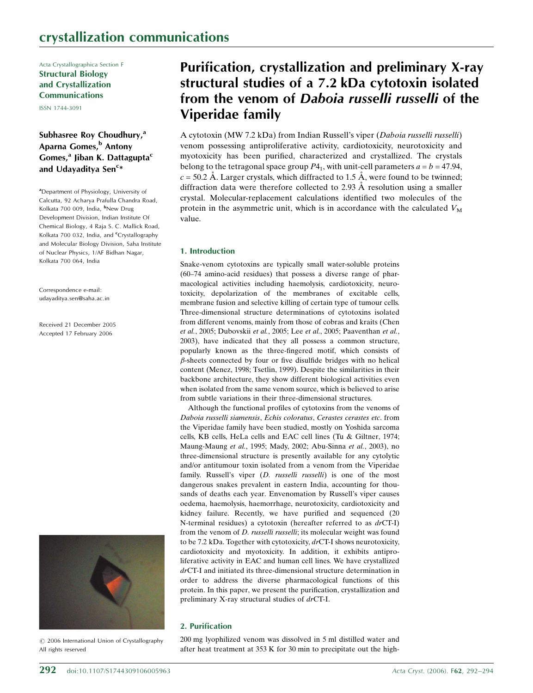Acta Crystallographica Section F Structural Biology and Crystallization Communications

 $ICEN 1744-2001$ 

# Subhasree Roy Choudhury,<sup>a</sup> Aparna Gomes,<sup>b</sup> Antony Gomes, $a$  Jiban K. Dattagupta<sup>c</sup> and Udayaditya Sen<sup>c</sup>\*

<sup>a</sup>Department of Physiology, University of Calcutta, 92 Acharya Prafulla Chandra Road, Kolkata 700 009, India, <sup>b</sup>New Drug Development Division, Indian Institute Of Chemical Biology, 4 Raja S. C. Mallick Road, Kolkata 700 032, India, and <sup>c</sup>Crystallography and Molecular Biology Division, Saha Institute of Nuclear Physics, 1/AF Bidhan Nagar, Kolkata 700 064, India

Correspondence e-mail: udayaditya.sen@saha.ac.in

Received 21 December 2005 Accepted 17 February 2006



*#* 2006 International Union of Crystallography All rights reserved

# Purification, crystallization and preliminary X-ray structural studies of a 7.2 kDa cytotoxin isolated from the venom of Daboia russelli russelli of the Viperidae family

A cytotoxin (MW 7.2 kDa) from Indian Russell's viper (Daboia russelli russelli) venom possessing antiproliferative activity, cardiotoxicity, neurotoxicity and myotoxicity has been purified, characterized and crystallized. The crystals belong to the tetragonal space group  $P_1$ , with unit-cell parameters  $a = b = 47.94$ ,  $c = 50.2$  Å. Larger crystals, which diffracted to 1.5 Å, were found to be twinned; diffraction data were therefore collected to 2.93  $\AA$  resolution using a smaller crystal. Molecular-replacement calculations identified two molecules of the protein in the asymmetric unit, which is in accordance with the calculated  $V_M$ value.

### 1. Introduction

Snake-venom cytotoxins are typically small water-soluble proteins (60–74 amino-acid residues) that possess a diverse range of pharmacological activities including haemolysis, cardiotoxicity, neurotoxicity, depolarization of the membranes of excitable cells, membrane fusion and selective killing of certain type of tumour cells. Three-dimensional structure determinations of cytotoxins isolated from different venoms, mainly from those of cobras and kraits (Chen et al., 2005; Dubovskii et al., 2005; Lee et al., 2005; Paaventhan et al., 2003), have indicated that they all possess a common structure, popularly known as the three-fingered motif, which consists of  $\beta$ -sheets connected by four or five disulfide bridges with no helical content (Menez, 1998; Tsetlin, 1999). Despite the similarities in their backbone architecture, they show different biological activities even when isolated from the same venom source, which is believed to arise from subtle variations in their three-dimensional structures.

Although the functional profiles of cytotoxins from the venoms of Daboia russelli siamensis, Echis coloratus, Cerastes cerastes etc. from the Viperidae family have been studied, mostly on Yoshida sarcoma cells, KB cells, HeLa cells and EAC cell lines (Tu & Giltner, 1974; Maung-Maung et al., 1995; Mady, 2002; Abu-Sinna et al., 2003), no three-dimensional structure is presently available for any cytolytic and/or antitumour toxin isolated from a venom from the Viperidae family. Russell's viper (*D. russelli russelli*) is one of the most dangerous snakes prevalent in eastern India, accounting for thousands of deaths each year. Envenomation by Russell's viper causes oedema, haemolysis, haemorrhage, neurotoxicity, cardiotoxicity and kidney failure. Recently, we have purified and sequenced (20 N-terminal residues) a cytotoxin (hereafter referred to as drCT-I) from the venom of D. russelli russelli; its molecular weight was found to be 7.2 kDa. Together with cytotoxicity, drCT-I shows neurotoxicity, cardiotoxicity and myotoxicity. In addition, it exhibits antiproliferative activity in EAC and human cell lines. We have crystallized drCT-I and initiated its three-dimensional structure determination in order to address the diverse pharmacological functions of this protein. In this paper, we present the purification, crystallization and preliminary X-ray structural studies of drCT-I.

### 2. Purification

200 mg lyophilized venom was dissolved in 5 ml distilled water and after heat treatment at 353 K for 30 min to precipitate out the high-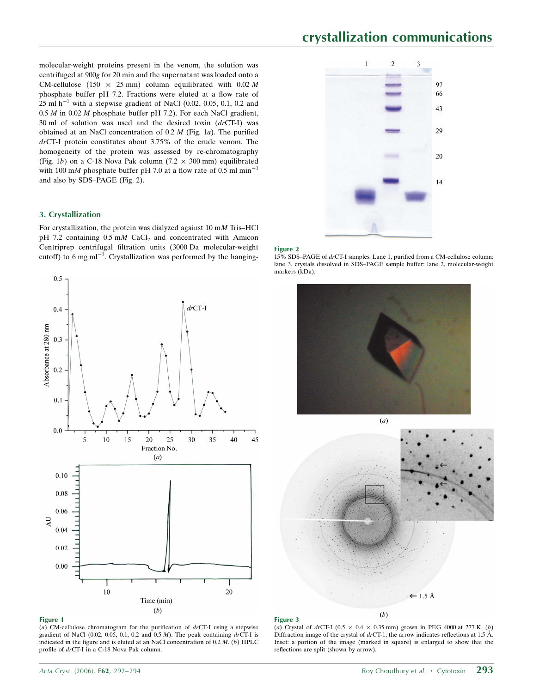# crystallization communications

 $\overline{2}$ 

 $\overline{3}$ 

97 66  $43$ 

29

 $20\,$ 

 $14$ 

 $\overline{1}$ 

molecular-weight proteins present in the venom, the solution was centrifuged at 900g for 20 min and the supernatant was loaded onto a CM-cellulose (150  $\times$  25 mm) column equilibrated with 0.02 M phosphate buffer pH 7.2. Fractions were eluted at a flow rate of  $25 \text{ ml h}^{-1}$  with a stepwise gradient of NaCl (0.02, 0.05, 0.1, 0.2 and  $0.5 M$  in  $0.02 M$  phosphate buffer pH 7.2). For each NaCl gradient, 30 ml of solution was used and the desired toxin  $(drCT-I)$  was obtained at an NaCl concentration of  $0.2 M$  (Fig. 1a). The purified drCT-I protein constitutes about 3.75% of the crude venom. The homogeneity of the protein was assessed by re-chromatography (Fig. 1b) on a C-18 Nova Pak column (7.2  $\times$  300 mm) equilibrated with 100 mM phosphate buffer pH 7.0 at a flow rate of 0.5 ml min<sup>-1</sup> and also by SDS–PAGE (Fig. 2).

## 3. Crystallization

For crystallization, the protein was dialyzed against 10 mM Tris–HCl  $pH$  7.2 containing 0.5 mM CaCl<sub>2</sub> and concentrated with Amicon Centriprep centrifugal filtration units (3000 Da molecular-weight cutoff) to 6 mg ml<sup>-1</sup>. Crystallization was performed by the hanging-



#### Figure 1

(a) CM-cellulose chromatogram for the purification of  $dr$ CT-I using a stepwise gradient of NaCl (0.02, 0.05, 0.1, 0.2 and 0.5  $M$ ). The peak containing  $dr$ CT-I is indicated in the figure and is eluted at an NaCl concentration of  $0.2 M$ . (b) HPLC profile of drCT-I in a C-18 Nova Pak column.

#### Figure 2

15% SDS–PAGE of drCT-I samples. Lane 1, purified from a CM-cellulose column; lane 3, crystals dissolved in SDS–PAGE sample buffer; lane 2, molecular-weight markers (kDa).







(a) Crystal of drCT-I ( $0.5 \times 0.4 \times 0.35$  mm) grown in PEG 4000 at 277 K. (b) Diffraction image of the crystal of  $dr$ CT-1; the arrow indicates reflections at 1.5 Å. Inset: a portion of the image (marked in square) is enlarged to show that the reflections are split (shown by arrow).